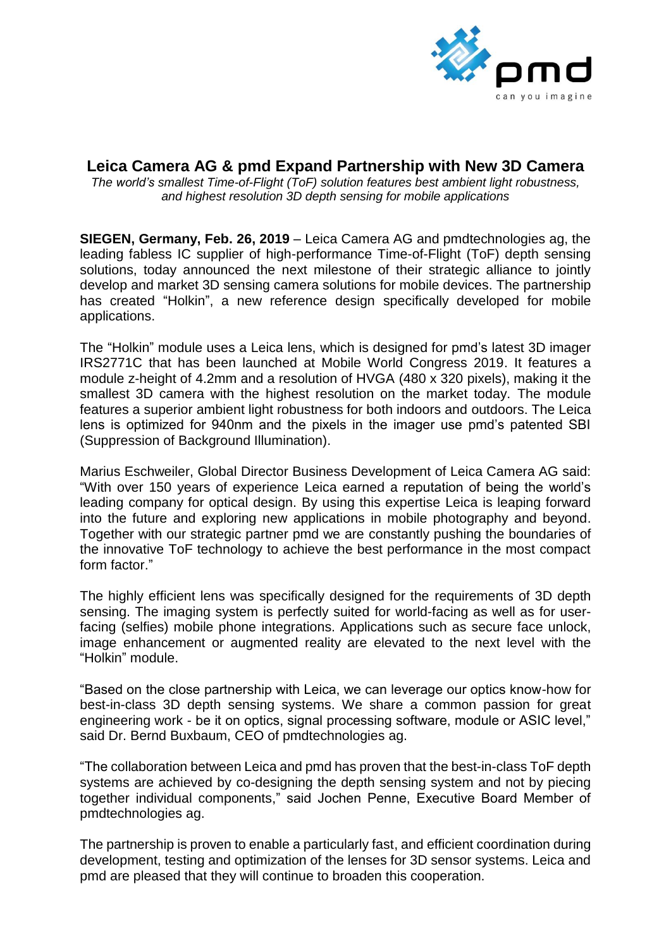

## **Leica Camera AG & pmd Expand Partnership with New 3D Camera**

*The world's smallest Time-of-Flight (ToF) solution features best ambient light robustness, and highest resolution 3D depth sensing for mobile applications*

**SIEGEN, Germany, Feb. 26, 2019** – Leica Camera AG and pmdtechnologies ag, the leading fabless IC supplier of high-performance Time-of-Flight (ToF) depth sensing solutions, today announced the next milestone of their strategic alliance to jointly develop and market 3D sensing camera solutions for mobile devices. The partnership has created "Holkin", a new reference design specifically developed for mobile applications.

The "Holkin" module uses a Leica lens, which is designed for pmd's latest 3D imager IRS2771C that has been launched at Mobile World Congress 2019. It features a module z-height of 4.2mm and a resolution of HVGA (480 x 320 pixels), making it the smallest 3D camera with the highest resolution on the market today. The module features a superior ambient light robustness for both indoors and outdoors. The Leica lens is optimized for 940nm and the pixels in the imager use pmd's patented SBI (Suppression of Background Illumination).

Marius Eschweiler, Global Director Business Development of Leica Camera AG said: "With over 150 years of experience Leica earned a reputation of being the world's leading company for optical design. By using this expertise Leica is leaping forward into the future and exploring new applications in mobile photography and beyond. Together with our strategic partner pmd we are constantly pushing the boundaries of the innovative ToF technology to achieve the best performance in the most compact form factor."

The highly efficient lens was specifically designed for the requirements of 3D depth sensing. The imaging system is perfectly suited for world-facing as well as for userfacing (selfies) mobile phone integrations. Applications such as secure face unlock, image enhancement or augmented reality are elevated to the next level with the "Holkin" module.

"Based on the close partnership with Leica, we can leverage our optics know-how for best-in-class 3D depth sensing systems. We share a common passion for great engineering work - be it on optics, signal processing software, module or ASIC level," said Dr. Bernd Buxbaum, CEO of pmdtechnologies ag.

"The collaboration between Leica and pmd has proven that the best-in-class ToF depth systems are achieved by co-designing the depth sensing system and not by piecing together individual components," said Jochen Penne, Executive Board Member of pmdtechnologies ag.

The partnership is proven to enable a particularly fast, and efficient coordination during development, testing and optimization of the lenses for 3D sensor systems. Leica and pmd are pleased that they will continue to broaden this cooperation.